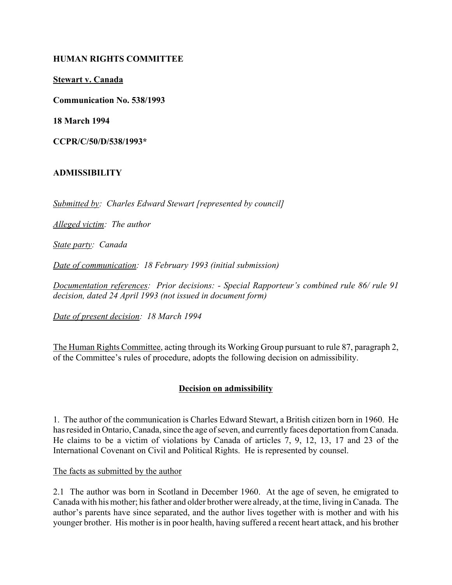#### **HUMAN RIGHTS COMMITTEE**

**Stewart v. Canada**

**Communication No. 538/1993**

**18 March 1994**

**CCPR/C/50/D/538/1993\***

### **ADMISSIBILITY**

*Submitted by: Charles Edward Stewart [represented by council]*

*Alleged victim: The author*

*State party: Canada*

*Date of communication: 18 February 1993 (initial submission)*

*Documentation references: Prior decisions: - Special Rapporteur's combined rule 86/ rule 91 decision, dated 24 April 1993 (not issued in document form)*

*Date of present decision: 18 March 1994*

The Human Rights Committee, acting through its Working Group pursuant to rule 87, paragraph 2, of the Committee's rules of procedure, adopts the following decision on admissibility.

### **Decision on admissibility**

1. The author of the communication is Charles Edward Stewart, a British citizen born in 1960. He has resided in Ontario, Canada, since the age of seven, and currently faces deportation from Canada. He claims to be a victim of violations by Canada of articles 7, 9, 12, 13, 17 and 23 of the International Covenant on Civil and Political Rights. He is represented by counsel.

The facts as submitted by the author

2.1 The author was born in Scotland in December 1960. At the age of seven, he emigrated to Canada with his mother; his father and older brother were already, at the time, living in Canada. The author's parents have since separated, and the author lives together with is mother and with his younger brother. His mother is in poor health, having suffered a recent heart attack, and his brother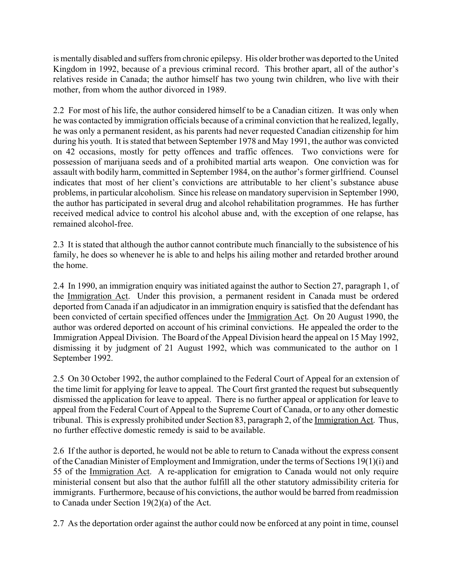is mentally disabled and suffers from chronic epilepsy. His older brother was deported to the United Kingdom in 1992, because of a previous criminal record. This brother apart, all of the author's relatives reside in Canada; the author himself has two young twin children, who live with their mother, from whom the author divorced in 1989.

2.2 For most of his life, the author considered himself to be a Canadian citizen. It was only when he was contacted by immigration officials because of a criminal conviction that he realized, legally, he was only a permanent resident, as his parents had never requested Canadian citizenship for him during his youth. It is stated that between September 1978 and May 1991, the author was convicted on 42 occasions, mostly for petty offences and traffic offences. Two convictions were for possession of marijuana seeds and of a prohibited martial arts weapon. One conviction was for assault with bodily harm, committed in September 1984, on the author's former girlfriend. Counsel indicates that most of her client's convictions are attributable to her client's substance abuse problems, in particular alcoholism. Since his release on mandatory supervision in September 1990, the author has participated in several drug and alcohol rehabilitation programmes. He has further received medical advice to control his alcohol abuse and, with the exception of one relapse, has remained alcohol-free.

2.3 It is stated that although the author cannot contribute much financially to the subsistence of his family, he does so whenever he is able to and helps his ailing mother and retarded brother around the home.

2.4 In 1990, an immigration enquiry was initiated against the author to Section 27, paragraph 1, of the Immigration Act. Under this provision, a permanent resident in Canada must be ordered deported from Canada if an adjudicator in an immigration enquiry is satisfied that the defendant has been convicted of certain specified offences under the Immigration Act. On 20 August 1990, the author was ordered deported on account of his criminal convictions. He appealed the order to the Immigration Appeal Division. The Board of the Appeal Division heard the appeal on 15 May 1992, dismissing it by judgment of 21 August 1992, which was communicated to the author on 1 September 1992.

2.5 On 30 October 1992, the author complained to the Federal Court of Appeal for an extension of the time limit for applying for leave to appeal. The Court first granted the request but subsequently dismissed the application for leave to appeal. There is no further appeal or application for leave to appeal from the Federal Court of Appeal to the Supreme Court of Canada, or to any other domestic tribunal. This is expressly prohibited under Section 83, paragraph 2, of the Immigration Act. Thus, no further effective domestic remedy is said to be available.

2.6 If the author is deported, he would not be able to return to Canada without the express consent of the Canadian Minister of Employment and Immigration, under the terms of Sections 19(1)(i) and 55 of the Immigration Act. A re-application for emigration to Canada would not only require ministerial consent but also that the author fulfill all the other statutory admissibility criteria for immigrants. Furthermore, because of his convictions, the author would be barred from readmission to Canada under Section 19(2)(a) of the Act.

2.7 As the deportation order against the author could now be enforced at any point in time, counsel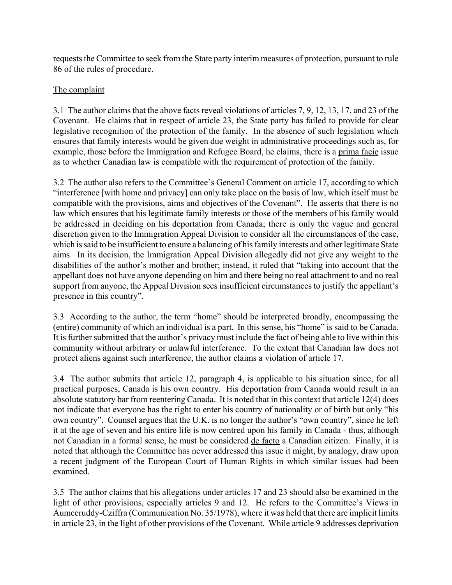requests the Committee to seek from the State party interim measures of protection, pursuant to rule 86 of the rules of procedure.

## The complaint

3.1 The author claims that the above facts reveal violations of articles 7, 9, 12, 13, 17, and 23 of the Covenant. He claims that in respect of article 23, the State party has failed to provide for clear legislative recognition of the protection of the family. In the absence of such legislation which ensures that family interests would be given due weight in administrative proceedings such as, for example, those before the Immigration and Refugee Board, he claims, there is a prima facie issue as to whether Canadian law is compatible with the requirement of protection of the family.

3.2 The author also refers to the Committee's General Comment on article 17, according to which "interference [with home and privacy] can only take place on the basis of law, which itself must be compatible with the provisions, aims and objectives of the Covenant". He asserts that there is no law which ensures that his legitimate family interests or those of the members of his family would be addressed in deciding on his deportation from Canada; there is only the vague and general discretion given to the Immigration Appeal Division to consider all the circumstances of the case, which is said to be insufficient to ensure a balancing of his family interests and other legitimate State aims. In its decision, the Immigration Appeal Division allegedly did not give any weight to the disabilities of the author's mother and brother; instead, it ruled that "taking into account that the appellant does not have anyone depending on him and there being no real attachment to and no real support from anyone, the Appeal Division sees insufficient circumstances to justify the appellant's presence in this country".

3.3 According to the author, the term "home" should be interpreted broadly, encompassing the (entire) community of which an individual is a part. In this sense, his "home" is said to be Canada. It is further submitted that the author's privacy must include the fact of being able to live within this community without arbitrary or unlawful interference. To the extent that Canadian law does not protect aliens against such interference, the author claims a violation of article 17.

3.4 The author submits that article 12, paragraph 4, is applicable to his situation since, for all practical purposes, Canada is his own country. His deportation from Canada would result in an absolute statutory bar from reentering Canada. It is noted that in this context that article 12(4) does not indicate that everyone has the right to enter his country of nationality or of birth but only "his own country". Counsel argues that the U.K. is no longer the author's "own country", since he left it at the age of seven and his entire life is now centred upon his family in Canada - thus, although not Canadian in a formal sense, he must be considered de facto a Canadian citizen. Finally, it is noted that although the Committee has never addressed this issue it might, by analogy, draw upon a recent judgment of the European Court of Human Rights in which similar issues had been examined.

3.5 The author claims that his allegations under articles 17 and 23 should also be examined in the light of other provisions, especially articles 9 and 12. He refers to the Committee's Views in Aumeeruddy-Cziffra (Communication No. 35/1978), where it was held that there are implicit limits in article 23, in the light of other provisions of the Covenant. While article 9 addresses deprivation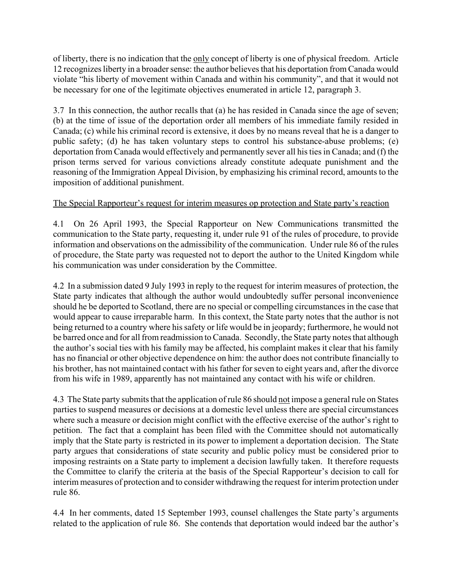of liberty, there is no indication that the only concept of liberty is one of physical freedom. Article 12 recognizes liberty in a broader sense: the author believes that his deportation from Canada would violate "his liberty of movement within Canada and within his community", and that it would not be necessary for one of the legitimate objectives enumerated in article 12, paragraph 3.

3.7 In this connection, the author recalls that (a) he has resided in Canada since the age of seven; (b) at the time of issue of the deportation order all members of his immediate family resided in Canada; (c) while his criminal record is extensive, it does by no means reveal that he is a danger to public safety; (d) he has taken voluntary steps to control his substance-abuse problems; (e) deportation from Canada would effectively and permanently sever all his ties in Canada; and (f) the prison terms served for various convictions already constitute adequate punishment and the reasoning of the Immigration Appeal Division, by emphasizing his criminal record, amounts to the imposition of additional punishment.

## The Special Rapporteur's request for interim measures op protection and State party's reaction

4.1 On 26 April 1993, the Special Rapporteur on New Communications transmitted the communication to the State party, requesting it, under rule 91 of the rules of procedure, to provide information and observations on the admissibility of the communication. Under rule 86 of the rules of procedure, the State party was requested not to deport the author to the United Kingdom while his communication was under consideration by the Committee.

4.2 In a submission dated 9 July 1993 in reply to the request for interim measures of protection, the State party indicates that although the author would undoubtedly suffer personal inconvenience should he be deported to Scotland, there are no special or compelling circumstances in the case that would appear to cause irreparable harm. In this context, the State party notes that the author is not being returned to a country where his safety or life would be in jeopardy; furthermore, he would not be barred once and for all from readmission to Canada. Secondly, the State party notes that although the author's social ties with his family may be affected, his complaint makes it clear that his family has no financial or other objective dependence on him: the author does not contribute financially to his brother, has not maintained contact with his father for seven to eight years and, after the divorce from his wife in 1989, apparently has not maintained any contact with his wife or children.

4.3 The State party submits that the application of rule 86 should not impose a general rule on States parties to suspend measures or decisions at a domestic level unless there are special circumstances where such a measure or decision might conflict with the effective exercise of the author's right to petition. The fact that a complaint has been filed with the Committee should not automatically imply that the State party is restricted in its power to implement a deportation decision. The State party argues that considerations of state security and public policy must be considered prior to imposing restraints on a State party to implement a decision lawfully taken. It therefore requests the Committee to clarify the criteria at the basis of the Special Rapporteur's decision to call for interim measures of protection and to consider withdrawing the request for interim protection under rule 86.

4.4 In her comments, dated 15 September 1993, counsel challenges the State party's arguments related to the application of rule 86. She contends that deportation would indeed bar the author's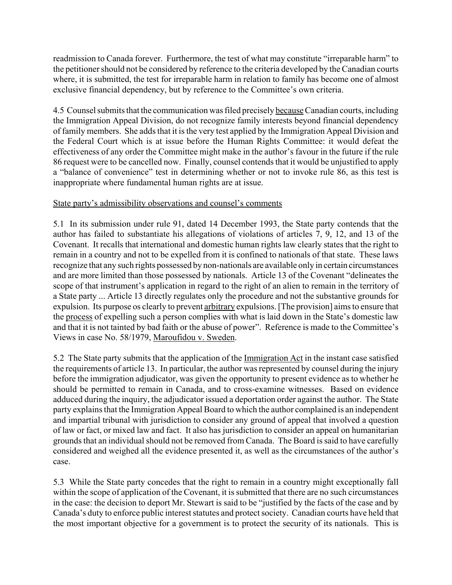readmission to Canada forever. Furthermore, the test of what may constitute "irreparable harm" to the petitioner should not be considered by reference to the criteria developed by the Canadian courts where, it is submitted, the test for irreparable harm in relation to family has become one of almost exclusive financial dependency, but by reference to the Committee's own criteria.

4.5 Counsel submits that the communication was filed precisely because Canadian courts, including the Immigration Appeal Division, do not recognize family interests beyond financial dependency of family members. She adds that it is the very test applied by the Immigration Appeal Division and the Federal Court which is at issue before the Human Rights Committee: it would defeat the effectiveness of any order the Committee might make in the author's favour in the future if the rule 86 request were to be cancelled now. Finally, counsel contends that it would be unjustified to apply a "balance of convenience" test in determining whether or not to invoke rule 86, as this test is inappropriate where fundamental human rights are at issue.

### State party's admissibility observations and counsel's comments

5.1 In its submission under rule 91, dated 14 December 1993, the State party contends that the author has failed to substantiate his allegations of violations of articles 7, 9, 12, and 13 of the Covenant. It recalls that international and domestic human rights law clearly states that the right to remain in a country and not to be expelled from it is confined to nationals of that state. These laws recognize that any such rights possessed by non-nationals are available only in certain circumstances and are more limited than those possessed by nationals. Article 13 of the Covenant "delineates the scope of that instrument's application in regard to the right of an alien to remain in the territory of a State party ... Article 13 directly regulates only the procedure and not the substantive grounds for expulsion. Its purpose os clearly to prevent arbitrary expulsions. [The provision] aims to ensure that the process of expelling such a person complies with what is laid down in the State's domestic law and that it is not tainted by bad faith or the abuse of power". Reference is made to the Committee's Views in case No. 58/1979, Maroufidou v. Sweden.

5.2 The State party submits that the application of the Immigration Act in the instant case satisfied the requirements of article 13. In particular, the author was represented by counsel during the injury before the immigration adjudicator, was given the opportunity to present evidence as to whether he should be permitted to remain in Canada, and to cross-examine witnesses. Based on evidence adduced during the inquiry, the adjudicator issued a deportation order against the author. The State party explains that the Immigration Appeal Board to which the author complained is an independent and impartial tribunal with jurisdiction to consider any ground of appeal that involved a question of law or fact, or mixed law and fact. It also has jurisdiction to consider an appeal on humanitarian grounds that an individual should not be removed from Canada. The Board is said to have carefully considered and weighed all the evidence presented it, as well as the circumstances of the author's case.

5.3 While the State party concedes that the right to remain in a country might exceptionally fall within the scope of application of the Covenant, it is submitted that there are no such circumstances in the case: the decision to deport Mr. Stewart is said to be "justified by the facts of the case and by Canada's duty to enforce public interest statutes and protect society. Canadian courts have held that the most important objective for a government is to protect the security of its nationals. This is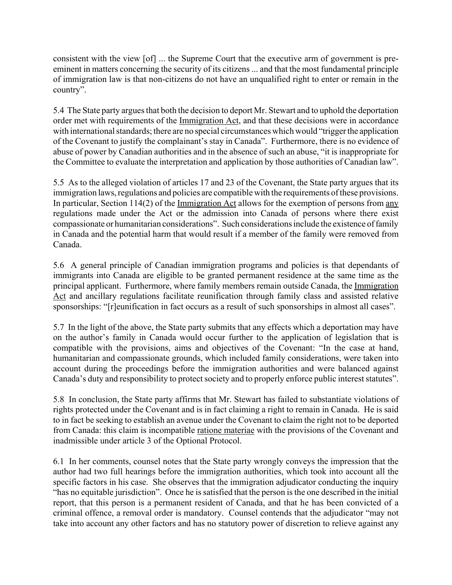consistent with the view [of] ... the Supreme Court that the executive arm of government is preeminent in matters concerning the security of its citizens ... and that the most fundamental principle of immigration law is that non-citizens do not have an unqualified right to enter or remain in the country".

5.4 The State party argues that both the decision to deport Mr. Stewart and to uphold the deportation order met with requirements of the Immigration Act, and that these decisions were in accordance with international standards; there are no special circumstances which would "trigger the application" of the Covenant to justify the complainant's stay in Canada". Furthermore, there is no evidence of abuse of power by Canadian authorities and in the absence of such an abuse, "it is inappropriate for the Committee to evaluate the interpretation and application by those authorities of Canadian law".

5.5 As to the alleged violation of articles 17 and 23 of the Covenant, the State party argues that its immigration laws, regulations and policies are compatible with the requirements of these provisions. In particular, Section 114(2) of the Immigration Act allows for the exemption of persons from any regulations made under the Act or the admission into Canada of persons where there exist compassionate or humanitarian considerationsî. Such considerations include the existence of family in Canada and the potential harm that would result if a member of the family were removed from Canada.

5.6 A general principle of Canadian immigration programs and policies is that dependants of immigrants into Canada are eligible to be granted permanent residence at the same time as the principal applicant. Furthermore, where family members remain outside Canada, the Immigration Act and ancillary regulations facilitate reunification through family class and assisted relative sponsorships: "[r]eunification in fact occurs as a result of such sponsorships in almost all cases".

5.7 In the light of the above, the State party submits that any effects which a deportation may have on the author's family in Canada would occur further to the application of legislation that is compatible with the provisions, aims and objectives of the Covenant: "In the case at hand, humanitarian and compassionate grounds, which included family considerations, were taken into account during the proceedings before the immigration authorities and were balanced against Canada's duty and responsibility to protect society and to properly enforce public interest statutes".

5.8 In conclusion, the State party affirms that Mr. Stewart has failed to substantiate violations of rights protected under the Covenant and is in fact claiming a right to remain in Canada. He is said to in fact be seeking to establish an avenue under the Covenant to claim the right not to be deported from Canada: this claim is incompatible ratione materiae with the provisions of the Covenant and inadmissible under article 3 of the Optional Protocol.

6.1 In her comments, counsel notes that the State party wrongly conveys the impression that the author had two full hearings before the immigration authorities, which took into account all the specific factors in his case. She observes that the immigration adjudicator conducting the inquiry ìhas no equitable jurisdictionî. Once he is satisfied that the person is the one described in the initial report, that this person is a permanent resident of Canada, and that he has been convicted of a criminal offence, a removal order is mandatory. Counsel contends that the adjudicator "may not take into account any other factors and has no statutory power of discretion to relieve against any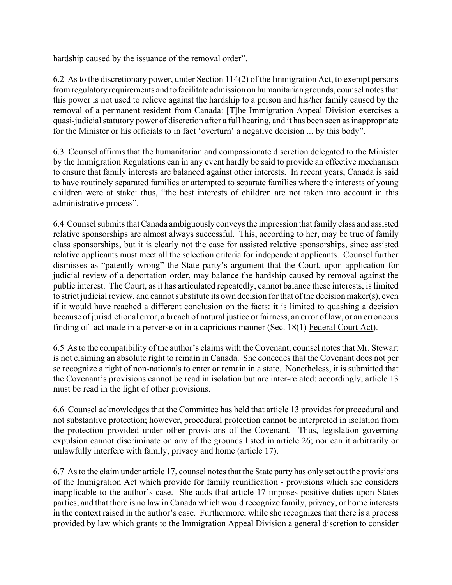hardship caused by the issuance of the removal order".

6.2 As to the discretionary power, under Section 114(2) of the Immigration Act, to exempt persons from regulatory requirements and to facilitate admission on humanitarian grounds, counsel notes that this power is not used to relieve against the hardship to a person and his/her family caused by the removal of a permanent resident from Canada: [T]he Immigration Appeal Division exercises a quasi-judicial statutory power of discretion after a full hearing, and it has been seen as inappropriate for the Minister or his officials to in fact 'overturn' a negative decision ... by this body".

6.3 Counsel affirms that the humanitarian and compassionate discretion delegated to the Minister by the Immigration Regulations can in any event hardly be said to provide an effective mechanism to ensure that family interests are balanced against other interests. In recent years, Canada is said to have routinely separated families or attempted to separate families where the interests of young children were at stake: thus, "the best interests of children are not taken into account in this administrative process".

6.4 Counsel submits that Canada ambiguously conveys the impression that family class and assisted relative sponsorships are almost always successful. This, according to her, may be true of family class sponsorships, but it is clearly not the case for assisted relative sponsorships, since assisted relative applicants must meet all the selection criteria for independent applicants. Counsel further dismisses as "patently wrong" the State party's argument that the Court, upon application for judicial review of a deportation order, may balance the hardship caused by removal against the public interest. The Court, as it has articulated repeatedly, cannot balance these interests, is limited to strict judicial review, and cannot substitute its own decision for that of the decision maker(s), even if it would have reached a different conclusion on the facts: it is limited to quashing a decision because of jurisdictional error, a breach of natural justice or fairness, an error of law, or an erroneous finding of fact made in a perverse or in a capricious manner (Sec. 18(1) Federal Court Act).

6.5 As to the compatibility of the author's claims with the Covenant, counsel notes that Mr. Stewart is not claiming an absolute right to remain in Canada. She concedes that the Covenant does not per se recognize a right of non-nationals to enter or remain in a state. Nonetheless, it is submitted that the Covenant's provisions cannot be read in isolation but are inter-related: accordingly, article 13 must be read in the light of other provisions.

6.6 Counsel acknowledges that the Committee has held that article 13 provides for procedural and not substantive protection; however, procedural protection cannot be interpreted in isolation from the protection provided under other provisions of the Covenant. Thus, legislation governing expulsion cannot discriminate on any of the grounds listed in article 26; nor can it arbitrarily or unlawfully interfere with family, privacy and home (article 17).

6.7 As to the claim under article 17, counsel notes that the State party has only set out the provisions of the Immigration Act which provide for family reunification - provisions which she considers inapplicable to the author's case. She adds that article 17 imposes positive duties upon States parties, and that there is no law in Canada which would recognize family, privacy, or home interests in the context raised in the author's case. Furthermore, while she recognizes that there is a process provided by law which grants to the Immigration Appeal Division a general discretion to consider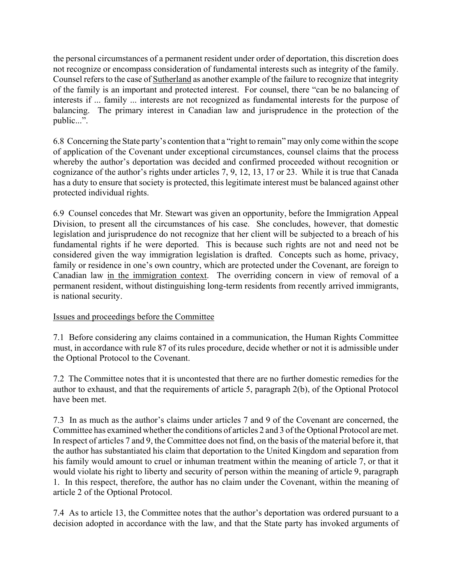the personal circumstances of a permanent resident under order of deportation, this discretion does not recognize or encompass consideration of fundamental interests such as integrity of the family. Counsel refers to the case of Sutherland as another example of the failure to recognize that integrity of the family is an important and protected interest. For counsel, there "can be no balancing of interests if ... family ... interests are not recognized as fundamental interests for the purpose of balancing. The primary interest in Canadian law and jurisprudence in the protection of the public...".

6.8 Concerning the State party's contention that a "right to remain" may only come within the scope of application of the Covenant under exceptional circumstances, counsel claims that the process whereby the author's deportation was decided and confirmed proceeded without recognition or cognizance of the author's rights under articles 7, 9, 12, 13, 17 or 23. While it is true that Canada has a duty to ensure that society is protected, this legitimate interest must be balanced against other protected individual rights.

6.9 Counsel concedes that Mr. Stewart was given an opportunity, before the Immigration Appeal Division, to present all the circumstances of his case. She concludes, however, that domestic legislation and jurisprudence do not recognize that her client will be subjected to a breach of his fundamental rights if he were deported. This is because such rights are not and need not be considered given the way immigration legislation is drafted. Concepts such as home, privacy, family or residence in one's own country, which are protected under the Covenant, are foreign to Canadian law in the immigration context. The overriding concern in view of removal of a permanent resident, without distinguishing long-term residents from recently arrived immigrants, is national security.

# Issues and proceedings before the Committee

7.1 Before considering any claims contained in a communication, the Human Rights Committee must, in accordance with rule 87 of its rules procedure, decide whether or not it is admissible under the Optional Protocol to the Covenant.

7.2 The Committee notes that it is uncontested that there are no further domestic remedies for the author to exhaust, and that the requirements of article 5, paragraph 2(b), of the Optional Protocol have been met.

7.3 In as much as the author's claims under articles 7 and 9 of the Covenant are concerned, the Committee has examined whether the conditions of articles 2 and 3 of the Optional Protocol are met. In respect of articles 7 and 9, the Committee does not find, on the basis of the material before it, that the author has substantiated his claim that deportation to the United Kingdom and separation from his family would amount to cruel or inhuman treatment within the meaning of article 7, or that it would violate his right to liberty and security of person within the meaning of article 9, paragraph 1. In this respect, therefore, the author has no claim under the Covenant, within the meaning of article 2 of the Optional Protocol.

7.4 As to article 13, the Committee notes that the author's deportation was ordered pursuant to a decision adopted in accordance with the law, and that the State party has invoked arguments of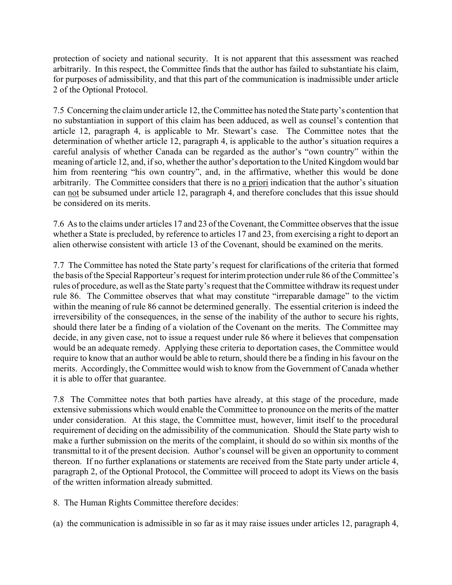protection of society and national security. It is not apparent that this assessment was reached arbitrarily. In this respect, the Committee finds that the author has failed to substantiate his claim, for purposes of admissibility, and that this part of the communication is inadmissible under article 2 of the Optional Protocol.

7.5 Concerning the claim under article 12, the Committee has noted the State party's contention that no substantiation in support of this claim has been adduced, as well as counsel's contention that article 12, paragraph 4, is applicable to Mr. Stewart's case. The Committee notes that the determination of whether article 12, paragraph 4, is applicable to the author's situation requires a careful analysis of whether Canada can be regarded as the author's "own country" within the meaning of article 12, and, if so, whether the author's deportation to the United Kingdom would bar him from reentering "his own country", and, in the affirmative, whether this would be done arbitrarily. The Committee considers that there is no a priori indication that the author's situation can not be subsumed under article 12, paragraph 4, and therefore concludes that this issue should be considered on its merits.

7.6 As to the claims under articles 17 and 23 of the Covenant, the Committee observes that the issue whether a State is precluded, by reference to articles 17 and 23, from exercising a right to deport an alien otherwise consistent with article 13 of the Covenant, should be examined on the merits.

7.7 The Committee has noted the State party's request for clarifications of the criteria that formed the basis of the Special Rapporteur's request for interim protection under rule 86 of the Committee's rules of procedure, as well as the State party's request that the Committee withdraw its request under rule 86. The Committee observes that what may constitute "irreparable damage" to the victim within the meaning of rule 86 cannot be determined generally. The essential criterion is indeed the irreversibility of the consequences, in the sense of the inability of the author to secure his rights, should there later be a finding of a violation of the Covenant on the merits. The Committee may decide, in any given case, not to issue a request under rule 86 where it believes that compensation would be an adequate remedy. Applying these criteria to deportation cases, the Committee would require to know that an author would be able to return, should there be a finding in his favour on the merits. Accordingly, the Committee would wish to know from the Government of Canada whether it is able to offer that guarantee.

7.8 The Committee notes that both parties have already, at this stage of the procedure, made extensive submissions which would enable the Committee to pronounce on the merits of the matter under consideration. At this stage, the Committee must, however, limit itself to the procedural requirement of deciding on the admissibility of the communication. Should the State party wish to make a further submission on the merits of the complaint, it should do so within six months of the transmittal to it of the present decision. Author's counsel will be given an opportunity to comment thereon. If no further explanations or statements are received from the State party under article 4, paragraph 2, of the Optional Protocol, the Committee will proceed to adopt its Views on the basis of the written information already submitted.

8. The Human Rights Committee therefore decides:

(a) the communication is admissible in so far as it may raise issues under articles 12, paragraph 4,